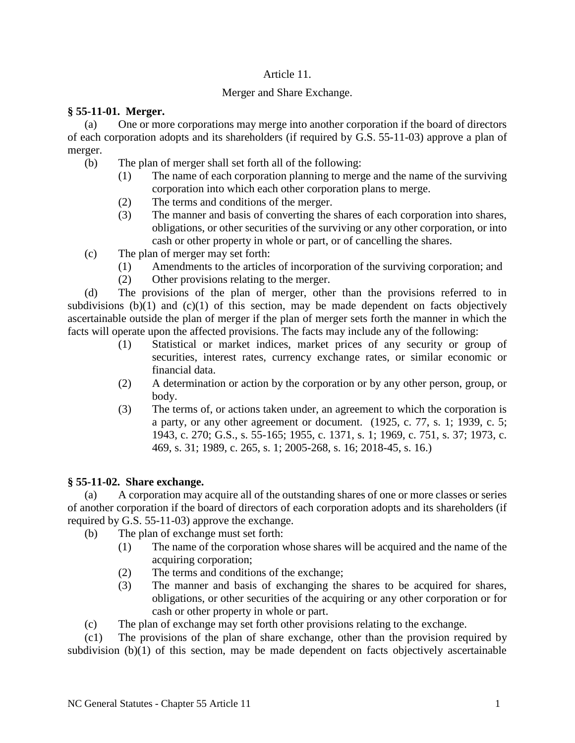## Article 11.

# Merger and Share Exchange.

# **§ 55-11-01. Merger.**

(a) One or more corporations may merge into another corporation if the board of directors of each corporation adopts and its shareholders (if required by G.S. 55-11-03) approve a plan of merger.

- (b) The plan of merger shall set forth all of the following:
	- (1) The name of each corporation planning to merge and the name of the surviving corporation into which each other corporation plans to merge.
	- (2) The terms and conditions of the merger.
	- (3) The manner and basis of converting the shares of each corporation into shares, obligations, or other securities of the surviving or any other corporation, or into cash or other property in whole or part, or of cancelling the shares.
- (c) The plan of merger may set forth:
	- (1) Amendments to the articles of incorporation of the surviving corporation; and
	- (2) Other provisions relating to the merger.

(d) The provisions of the plan of merger, other than the provisions referred to in subdivisions (b)(1) and (c)(1) of this section, may be made dependent on facts objectively ascertainable outside the plan of merger if the plan of merger sets forth the manner in which the facts will operate upon the affected provisions. The facts may include any of the following:

- (1) Statistical or market indices, market prices of any security or group of securities, interest rates, currency exchange rates, or similar economic or financial data.
- (2) A determination or action by the corporation or by any other person, group, or body.
- (3) The terms of, or actions taken under, an agreement to which the corporation is a party, or any other agreement or document. (1925, c. 77, s. 1; 1939, c. 5; 1943, c. 270; G.S., s. 55-165; 1955, c. 1371, s. 1; 1969, c. 751, s. 37; 1973, c. 469, s. 31; 1989, c. 265, s. 1; 2005-268, s. 16; 2018-45, s. 16.)

## **§ 55-11-02. Share exchange.**

(a) A corporation may acquire all of the outstanding shares of one or more classes or series of another corporation if the board of directors of each corporation adopts and its shareholders (if required by G.S. 55-11-03) approve the exchange.

- (b) The plan of exchange must set forth:
	- (1) The name of the corporation whose shares will be acquired and the name of the acquiring corporation;
	- (2) The terms and conditions of the exchange;
	- (3) The manner and basis of exchanging the shares to be acquired for shares, obligations, or other securities of the acquiring or any other corporation or for cash or other property in whole or part.
- (c) The plan of exchange may set forth other provisions relating to the exchange.

(c1) The provisions of the plan of share exchange, other than the provision required by subdivision (b)(1) of this section, may be made dependent on facts objectively ascertainable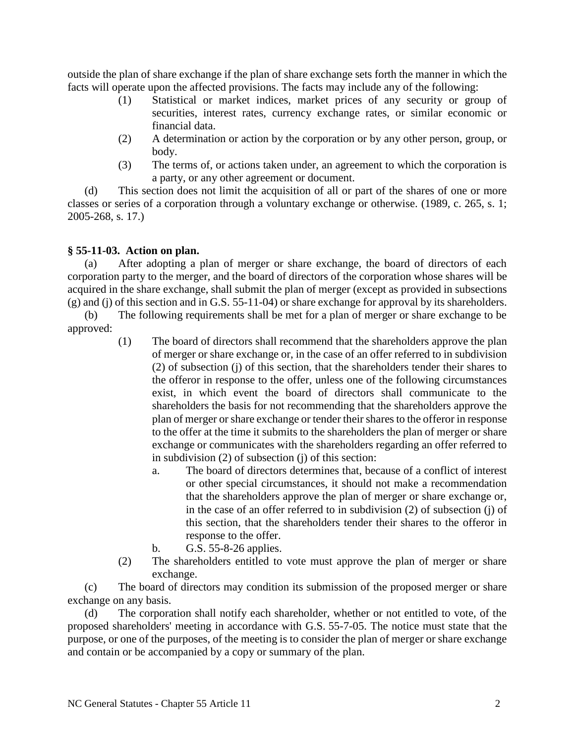outside the plan of share exchange if the plan of share exchange sets forth the manner in which the facts will operate upon the affected provisions. The facts may include any of the following:

- (1) Statistical or market indices, market prices of any security or group of securities, interest rates, currency exchange rates, or similar economic or financial data.
- (2) A determination or action by the corporation or by any other person, group, or body.
- (3) The terms of, or actions taken under, an agreement to which the corporation is a party, or any other agreement or document.

(d) This section does not limit the acquisition of all or part of the shares of one or more classes or series of a corporation through a voluntary exchange or otherwise. (1989, c. 265, s. 1; 2005-268, s. 17.)

#### **§ 55-11-03. Action on plan.**

(a) After adopting a plan of merger or share exchange, the board of directors of each corporation party to the merger, and the board of directors of the corporation whose shares will be acquired in the share exchange, shall submit the plan of merger (except as provided in subsections (g) and (j) of this section and in G.S. 55-11-04) or share exchange for approval by its shareholders.

(b) The following requirements shall be met for a plan of merger or share exchange to be approved:

- (1) The board of directors shall recommend that the shareholders approve the plan of merger or share exchange or, in the case of an offer referred to in subdivision (2) of subsection (j) of this section, that the shareholders tender their shares to the offeror in response to the offer, unless one of the following circumstances exist, in which event the board of directors shall communicate to the shareholders the basis for not recommending that the shareholders approve the plan of merger or share exchange or tender their shares to the offeror in response to the offer at the time it submits to the shareholders the plan of merger or share exchange or communicates with the shareholders regarding an offer referred to in subdivision (2) of subsection (j) of this section:
	- a. The board of directors determines that, because of a conflict of interest or other special circumstances, it should not make a recommendation that the shareholders approve the plan of merger or share exchange or, in the case of an offer referred to in subdivision (2) of subsection (j) of this section, that the shareholders tender their shares to the offeror in response to the offer.
	- b. G.S. 55-8-26 applies.
- (2) The shareholders entitled to vote must approve the plan of merger or share exchange.

(c) The board of directors may condition its submission of the proposed merger or share exchange on any basis.

(d) The corporation shall notify each shareholder, whether or not entitled to vote, of the proposed shareholders' meeting in accordance with G.S. 55-7-05. The notice must state that the purpose, or one of the purposes, of the meeting is to consider the plan of merger or share exchange and contain or be accompanied by a copy or summary of the plan.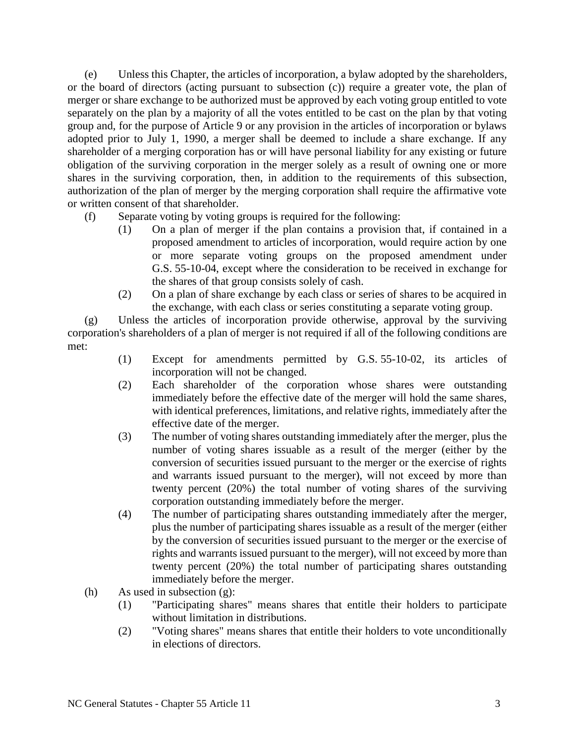(e) Unless this Chapter, the articles of incorporation, a bylaw adopted by the shareholders, or the board of directors (acting pursuant to subsection (c)) require a greater vote, the plan of merger or share exchange to be authorized must be approved by each voting group entitled to vote separately on the plan by a majority of all the votes entitled to be cast on the plan by that voting group and, for the purpose of Article 9 or any provision in the articles of incorporation or bylaws adopted prior to July 1, 1990, a merger shall be deemed to include a share exchange. If any shareholder of a merging corporation has or will have personal liability for any existing or future obligation of the surviving corporation in the merger solely as a result of owning one or more shares in the surviving corporation, then, in addition to the requirements of this subsection, authorization of the plan of merger by the merging corporation shall require the affirmative vote or written consent of that shareholder.

- (f) Separate voting by voting groups is required for the following:
	- (1) On a plan of merger if the plan contains a provision that, if contained in a proposed amendment to articles of incorporation, would require action by one or more separate voting groups on the proposed amendment under G.S. 55-10-04, except where the consideration to be received in exchange for the shares of that group consists solely of cash.
	- (2) On a plan of share exchange by each class or series of shares to be acquired in the exchange, with each class or series constituting a separate voting group.

(g) Unless the articles of incorporation provide otherwise, approval by the surviving corporation's shareholders of a plan of merger is not required if all of the following conditions are met:

- (1) Except for amendments permitted by G.S. 55-10-02, its articles of incorporation will not be changed.
- (2) Each shareholder of the corporation whose shares were outstanding immediately before the effective date of the merger will hold the same shares, with identical preferences, limitations, and relative rights, immediately after the effective date of the merger.
- (3) The number of voting shares outstanding immediately after the merger, plus the number of voting shares issuable as a result of the merger (either by the conversion of securities issued pursuant to the merger or the exercise of rights and warrants issued pursuant to the merger), will not exceed by more than twenty percent (20%) the total number of voting shares of the surviving corporation outstanding immediately before the merger.
- (4) The number of participating shares outstanding immediately after the merger, plus the number of participating shares issuable as a result of the merger (either by the conversion of securities issued pursuant to the merger or the exercise of rights and warrants issued pursuant to the merger), will not exceed by more than twenty percent (20%) the total number of participating shares outstanding immediately before the merger.
- (h) As used in subsection (g):
	- (1) "Participating shares" means shares that entitle their holders to participate without limitation in distributions.
	- (2) "Voting shares" means shares that entitle their holders to vote unconditionally in elections of directors.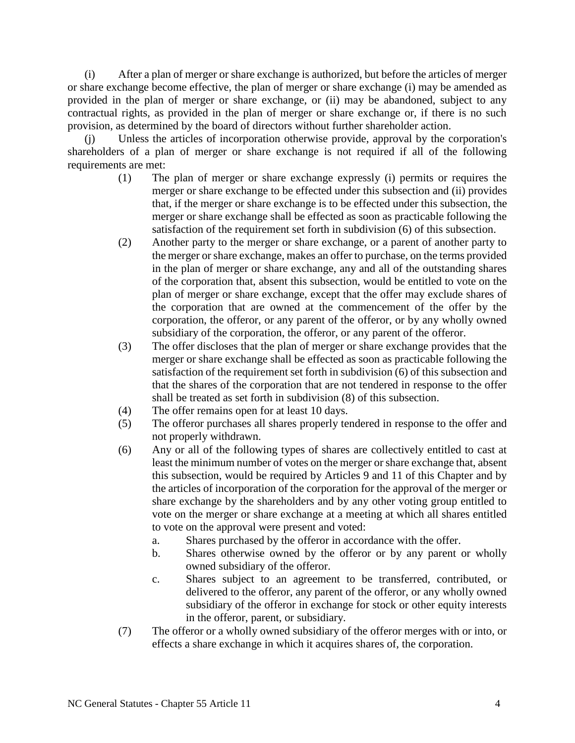(i) After a plan of merger or share exchange is authorized, but before the articles of merger or share exchange become effective, the plan of merger or share exchange (i) may be amended as provided in the plan of merger or share exchange, or (ii) may be abandoned, subject to any contractual rights, as provided in the plan of merger or share exchange or, if there is no such provision, as determined by the board of directors without further shareholder action.

(j) Unless the articles of incorporation otherwise provide, approval by the corporation's shareholders of a plan of merger or share exchange is not required if all of the following requirements are met:

- (1) The plan of merger or share exchange expressly (i) permits or requires the merger or share exchange to be effected under this subsection and (ii) provides that, if the merger or share exchange is to be effected under this subsection, the merger or share exchange shall be effected as soon as practicable following the satisfaction of the requirement set forth in subdivision (6) of this subsection.
- (2) Another party to the merger or share exchange, or a parent of another party to the merger or share exchange, makes an offer to purchase, on the terms provided in the plan of merger or share exchange, any and all of the outstanding shares of the corporation that, absent this subsection, would be entitled to vote on the plan of merger or share exchange, except that the offer may exclude shares of the corporation that are owned at the commencement of the offer by the corporation, the offeror, or any parent of the offeror, or by any wholly owned subsidiary of the corporation, the offeror, or any parent of the offeror.
- (3) The offer discloses that the plan of merger or share exchange provides that the merger or share exchange shall be effected as soon as practicable following the satisfaction of the requirement set forth in subdivision (6) of this subsection and that the shares of the corporation that are not tendered in response to the offer shall be treated as set forth in subdivision (8) of this subsection.
- (4) The offer remains open for at least 10 days.
- (5) The offeror purchases all shares properly tendered in response to the offer and not properly withdrawn.
- (6) Any or all of the following types of shares are collectively entitled to cast at least the minimum number of votes on the merger or share exchange that, absent this subsection, would be required by Articles 9 and 11 of this Chapter and by the articles of incorporation of the corporation for the approval of the merger or share exchange by the shareholders and by any other voting group entitled to vote on the merger or share exchange at a meeting at which all shares entitled to vote on the approval were present and voted:
	- a. Shares purchased by the offeror in accordance with the offer.
	- b. Shares otherwise owned by the offeror or by any parent or wholly owned subsidiary of the offeror.
	- c. Shares subject to an agreement to be transferred, contributed, or delivered to the offeror, any parent of the offeror, or any wholly owned subsidiary of the offeror in exchange for stock or other equity interests in the offeror, parent, or subsidiary.
- (7) The offeror or a wholly owned subsidiary of the offeror merges with or into, or effects a share exchange in which it acquires shares of, the corporation.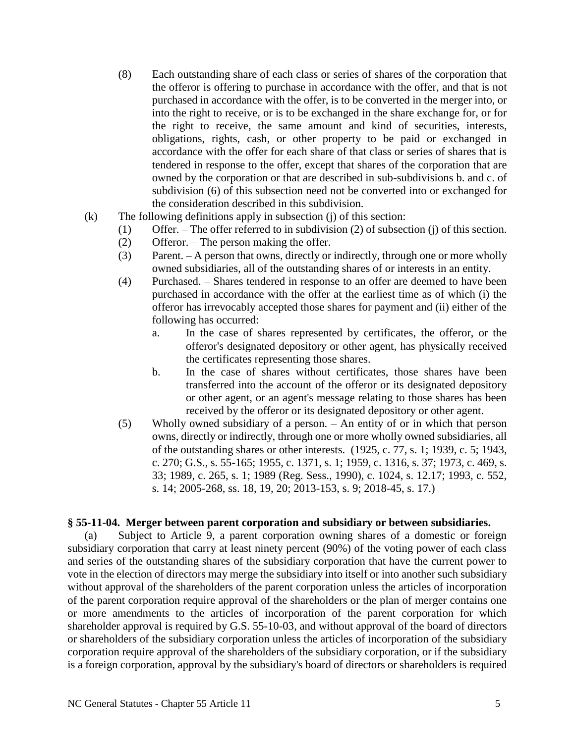- (8) Each outstanding share of each class or series of shares of the corporation that the offeror is offering to purchase in accordance with the offer, and that is not purchased in accordance with the offer, is to be converted in the merger into, or into the right to receive, or is to be exchanged in the share exchange for, or for the right to receive, the same amount and kind of securities, interests, obligations, rights, cash, or other property to be paid or exchanged in accordance with the offer for each share of that class or series of shares that is tendered in response to the offer, except that shares of the corporation that are owned by the corporation or that are described in sub-subdivisions b. and c. of subdivision (6) of this subsection need not be converted into or exchanged for the consideration described in this subdivision.
- (k) The following definitions apply in subsection (j) of this section:
	- (1) Offer. The offer referred to in subdivision (2) of subsection (j) of this section.
		- (2) Offeror. The person making the offer.
		- (3) Parent. A person that owns, directly or indirectly, through one or more wholly owned subsidiaries, all of the outstanding shares of or interests in an entity.
		- (4) Purchased. Shares tendered in response to an offer are deemed to have been purchased in accordance with the offer at the earliest time as of which (i) the offeror has irrevocably accepted those shares for payment and (ii) either of the following has occurred:
			- a. In the case of shares represented by certificates, the offeror, or the offeror's designated depository or other agent, has physically received the certificates representing those shares.
			- b. In the case of shares without certificates, those shares have been transferred into the account of the offeror or its designated depository or other agent, or an agent's message relating to those shares has been received by the offeror or its designated depository or other agent.
		- (5) Wholly owned subsidiary of a person. An entity of or in which that person owns, directly or indirectly, through one or more wholly owned subsidiaries, all of the outstanding shares or other interests. (1925, c. 77, s. 1; 1939, c. 5; 1943, c. 270; G.S., s. 55-165; 1955, c. 1371, s. 1; 1959, c. 1316, s. 37; 1973, c. 469, s. 33; 1989, c. 265, s. 1; 1989 (Reg. Sess., 1990), c. 1024, s. 12.17; 1993, c. 552, s. 14; 2005-268, ss. 18, 19, 20; 2013-153, s. 9; 2018-45, s. 17.)

#### **§ 55-11-04. Merger between parent corporation and subsidiary or between subsidiaries.**

(a) Subject to Article 9, a parent corporation owning shares of a domestic or foreign subsidiary corporation that carry at least ninety percent (90%) of the voting power of each class and series of the outstanding shares of the subsidiary corporation that have the current power to vote in the election of directors may merge the subsidiary into itself or into another such subsidiary without approval of the shareholders of the parent corporation unless the articles of incorporation of the parent corporation require approval of the shareholders or the plan of merger contains one or more amendments to the articles of incorporation of the parent corporation for which shareholder approval is required by G.S. 55-10-03, and without approval of the board of directors or shareholders of the subsidiary corporation unless the articles of incorporation of the subsidiary corporation require approval of the shareholders of the subsidiary corporation, or if the subsidiary is a foreign corporation, approval by the subsidiary's board of directors or shareholders is required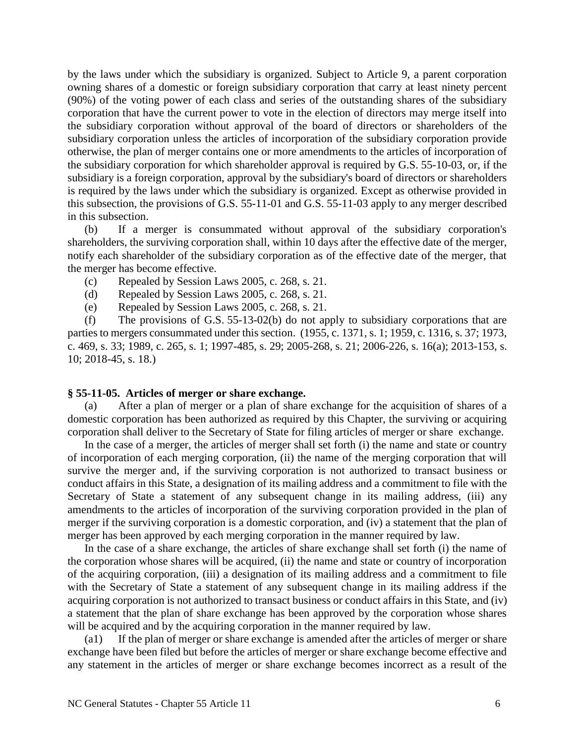by the laws under which the subsidiary is organized. Subject to Article 9, a parent corporation owning shares of a domestic or foreign subsidiary corporation that carry at least ninety percent (90%) of the voting power of each class and series of the outstanding shares of the subsidiary corporation that have the current power to vote in the election of directors may merge itself into the subsidiary corporation without approval of the board of directors or shareholders of the subsidiary corporation unless the articles of incorporation of the subsidiary corporation provide otherwise, the plan of merger contains one or more amendments to the articles of incorporation of the subsidiary corporation for which shareholder approval is required by G.S. 55-10-03, or, if the subsidiary is a foreign corporation, approval by the subsidiary's board of directors or shareholders is required by the laws under which the subsidiary is organized. Except as otherwise provided in this subsection, the provisions of G.S. 55-11-01 and G.S. 55-11-03 apply to any merger described in this subsection.

(b) If a merger is consummated without approval of the subsidiary corporation's shareholders, the surviving corporation shall, within 10 days after the effective date of the merger, notify each shareholder of the subsidiary corporation as of the effective date of the merger, that the merger has become effective.

- (c) Repealed by Session Laws 2005, c. 268, s. 21.
- (d) Repealed by Session Laws 2005, c. 268, s. 21.
- (e) Repealed by Session Laws 2005, c. 268, s. 21.

(f) The provisions of G.S. 55-13-02(b) do not apply to subsidiary corporations that are parties to mergers consummated under this section. (1955, c. 1371, s. 1; 1959, c. 1316, s. 37; 1973, c. 469, s. 33; 1989, c. 265, s. 1; 1997-485, s. 29; 2005-268, s. 21; 2006-226, s. 16(a); 2013-153, s. 10; 2018-45, s. 18.)

#### **§ 55-11-05. Articles of merger or share exchange.**

(a) After a plan of merger or a plan of share exchange for the acquisition of shares of a domestic corporation has been authorized as required by this Chapter, the surviving or acquiring corporation shall deliver to the Secretary of State for filing articles of merger or share exchange.

In the case of a merger, the articles of merger shall set forth (i) the name and state or country of incorporation of each merging corporation, (ii) the name of the merging corporation that will survive the merger and, if the surviving corporation is not authorized to transact business or conduct affairs in this State, a designation of its mailing address and a commitment to file with the Secretary of State a statement of any subsequent change in its mailing address, (iii) any amendments to the articles of incorporation of the surviving corporation provided in the plan of merger if the surviving corporation is a domestic corporation, and (iv) a statement that the plan of merger has been approved by each merging corporation in the manner required by law.

In the case of a share exchange, the articles of share exchange shall set forth (i) the name of the corporation whose shares will be acquired, (ii) the name and state or country of incorporation of the acquiring corporation, (iii) a designation of its mailing address and a commitment to file with the Secretary of State a statement of any subsequent change in its mailing address if the acquiring corporation is not authorized to transact business or conduct affairs in this State, and (iv) a statement that the plan of share exchange has been approved by the corporation whose shares will be acquired and by the acquiring corporation in the manner required by law.

(a1) If the plan of merger or share exchange is amended after the articles of merger or share exchange have been filed but before the articles of merger or share exchange become effective and any statement in the articles of merger or share exchange becomes incorrect as a result of the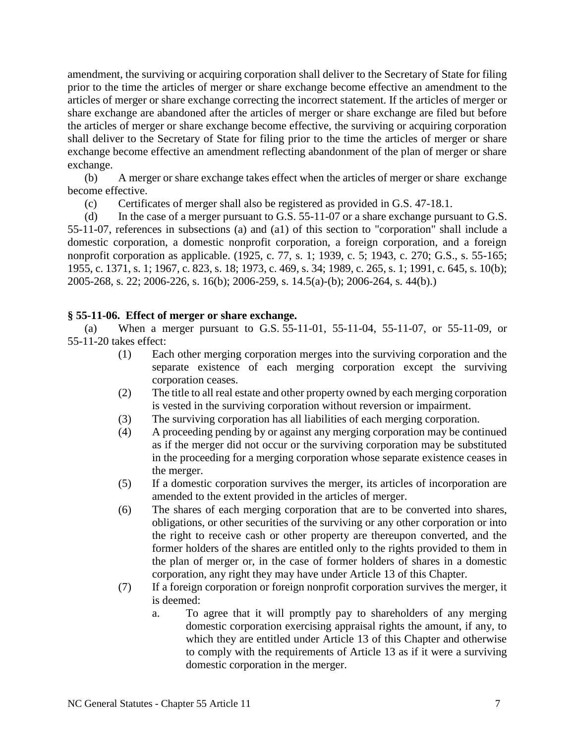amendment, the surviving or acquiring corporation shall deliver to the Secretary of State for filing prior to the time the articles of merger or share exchange become effective an amendment to the articles of merger or share exchange correcting the incorrect statement. If the articles of merger or share exchange are abandoned after the articles of merger or share exchange are filed but before the articles of merger or share exchange become effective, the surviving or acquiring corporation shall deliver to the Secretary of State for filing prior to the time the articles of merger or share exchange become effective an amendment reflecting abandonment of the plan of merger or share exchange.

(b) A merger or share exchange takes effect when the articles of merger or share exchange become effective.

(c) Certificates of merger shall also be registered as provided in G.S. 47-18.1.

(d) In the case of a merger pursuant to G.S. 55-11-07 or a share exchange pursuant to G.S. 55-11-07, references in subsections (a) and (a1) of this section to "corporation" shall include a domestic corporation, a domestic nonprofit corporation, a foreign corporation, and a foreign nonprofit corporation as applicable. (1925, c. 77, s. 1; 1939, c. 5; 1943, c. 270; G.S., s. 55-165; 1955, c. 1371, s. 1; 1967, c. 823, s. 18; 1973, c. 469, s. 34; 1989, c. 265, s. 1; 1991, c. 645, s. 10(b); 2005-268, s. 22; 2006-226, s. 16(b); 2006-259, s. 14.5(a)-(b); 2006-264, s. 44(b).)

#### **§ 55-11-06. Effect of merger or share exchange.**

(a) When a merger pursuant to G.S. 55-11-01, 55-11-04, 55-11-07, or 55-11-09, or 55-11-20 takes effect:

- (1) Each other merging corporation merges into the surviving corporation and the separate existence of each merging corporation except the surviving corporation ceases.
- (2) The title to all real estate and other property owned by each merging corporation is vested in the surviving corporation without reversion or impairment.
- (3) The surviving corporation has all liabilities of each merging corporation.
- (4) A proceeding pending by or against any merging corporation may be continued as if the merger did not occur or the surviving corporation may be substituted in the proceeding for a merging corporation whose separate existence ceases in the merger.
- (5) If a domestic corporation survives the merger, its articles of incorporation are amended to the extent provided in the articles of merger.
- (6) The shares of each merging corporation that are to be converted into shares, obligations, or other securities of the surviving or any other corporation or into the right to receive cash or other property are thereupon converted, and the former holders of the shares are entitled only to the rights provided to them in the plan of merger or, in the case of former holders of shares in a domestic corporation, any right they may have under Article 13 of this Chapter.
- (7) If a foreign corporation or foreign nonprofit corporation survives the merger, it is deemed:
	- a. To agree that it will promptly pay to shareholders of any merging domestic corporation exercising appraisal rights the amount, if any, to which they are entitled under Article 13 of this Chapter and otherwise to comply with the requirements of Article 13 as if it were a surviving domestic corporation in the merger.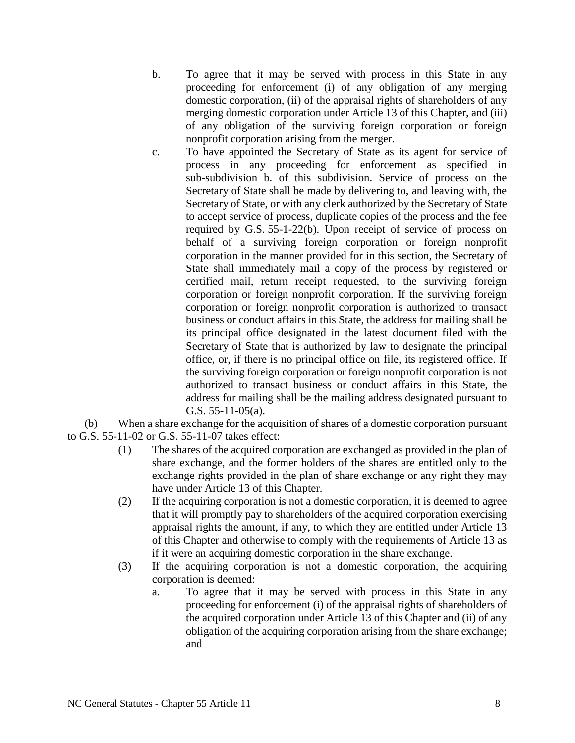- b. To agree that it may be served with process in this State in any proceeding for enforcement (i) of any obligation of any merging domestic corporation, (ii) of the appraisal rights of shareholders of any merging domestic corporation under Article 13 of this Chapter, and (iii) of any obligation of the surviving foreign corporation or foreign nonprofit corporation arising from the merger.
- c. To have appointed the Secretary of State as its agent for service of process in any proceeding for enforcement as specified in sub-subdivision b. of this subdivision. Service of process on the Secretary of State shall be made by delivering to, and leaving with, the Secretary of State, or with any clerk authorized by the Secretary of State to accept service of process, duplicate copies of the process and the fee required by G.S. 55-1-22(b). Upon receipt of service of process on behalf of a surviving foreign corporation or foreign nonprofit corporation in the manner provided for in this section, the Secretary of State shall immediately mail a copy of the process by registered or certified mail, return receipt requested, to the surviving foreign corporation or foreign nonprofit corporation. If the surviving foreign corporation or foreign nonprofit corporation is authorized to transact business or conduct affairs in this State, the address for mailing shall be its principal office designated in the latest document filed with the Secretary of State that is authorized by law to designate the principal office, or, if there is no principal office on file, its registered office. If the surviving foreign corporation or foreign nonprofit corporation is not authorized to transact business or conduct affairs in this State, the address for mailing shall be the mailing address designated pursuant to G.S. 55-11-05(a).

(b) When a share exchange for the acquisition of shares of a domestic corporation pursuant to G.S. 55-11-02 or G.S. 55-11-07 takes effect:

- (1) The shares of the acquired corporation are exchanged as provided in the plan of share exchange, and the former holders of the shares are entitled only to the exchange rights provided in the plan of share exchange or any right they may have under Article 13 of this Chapter.
- (2) If the acquiring corporation is not a domestic corporation, it is deemed to agree that it will promptly pay to shareholders of the acquired corporation exercising appraisal rights the amount, if any, to which they are entitled under Article 13 of this Chapter and otherwise to comply with the requirements of Article 13 as if it were an acquiring domestic corporation in the share exchange.
- (3) If the acquiring corporation is not a domestic corporation, the acquiring corporation is deemed:
	- a. To agree that it may be served with process in this State in any proceeding for enforcement (i) of the appraisal rights of shareholders of the acquired corporation under Article 13 of this Chapter and (ii) of any obligation of the acquiring corporation arising from the share exchange; and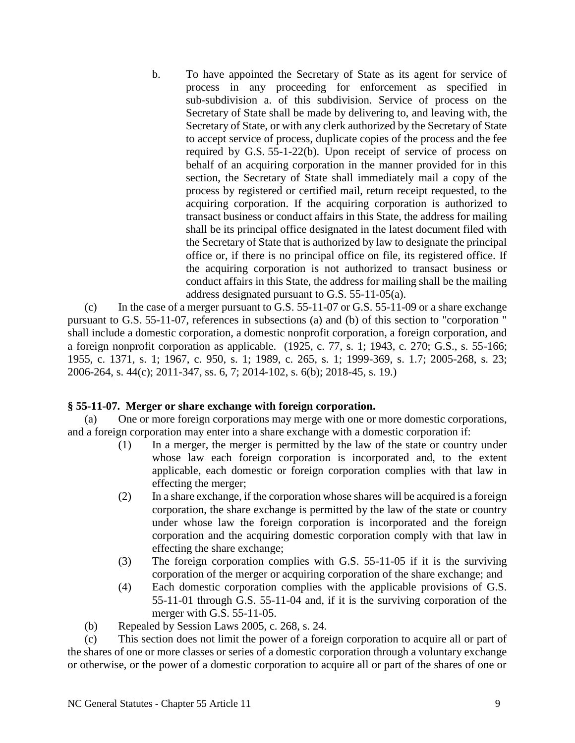b. To have appointed the Secretary of State as its agent for service of process in any proceeding for enforcement as specified in sub-subdivision a. of this subdivision. Service of process on the Secretary of State shall be made by delivering to, and leaving with, the Secretary of State, or with any clerk authorized by the Secretary of State to accept service of process, duplicate copies of the process and the fee required by G.S. 55-1-22(b). Upon receipt of service of process on behalf of an acquiring corporation in the manner provided for in this section, the Secretary of State shall immediately mail a copy of the process by registered or certified mail, return receipt requested, to the acquiring corporation. If the acquiring corporation is authorized to transact business or conduct affairs in this State, the address for mailing shall be its principal office designated in the latest document filed with the Secretary of State that is authorized by law to designate the principal office or, if there is no principal office on file, its registered office. If the acquiring corporation is not authorized to transact business or conduct affairs in this State, the address for mailing shall be the mailing address designated pursuant to G.S. 55-11-05(a).

(c) In the case of a merger pursuant to G.S. 55-11-07 or G.S. 55-11-09 or a share exchange pursuant to G.S. 55-11-07, references in subsections (a) and (b) of this section to "corporation " shall include a domestic corporation, a domestic nonprofit corporation, a foreign corporation, and a foreign nonprofit corporation as applicable. (1925, c. 77, s. 1; 1943, c. 270; G.S., s. 55-166; 1955, c. 1371, s. 1; 1967, c. 950, s. 1; 1989, c. 265, s. 1; 1999-369, s. 1.7; 2005-268, s. 23; 2006-264, s. 44(c); 2011-347, ss. 6, 7; 2014-102, s. 6(b); 2018-45, s. 19.)

## **§ 55-11-07. Merger or share exchange with foreign corporation.**

(a) One or more foreign corporations may merge with one or more domestic corporations, and a foreign corporation may enter into a share exchange with a domestic corporation if:

- (1) In a merger, the merger is permitted by the law of the state or country under whose law each foreign corporation is incorporated and, to the extent applicable, each domestic or foreign corporation complies with that law in effecting the merger;
- (2) In a share exchange, if the corporation whose shares will be acquired is a foreign corporation, the share exchange is permitted by the law of the state or country under whose law the foreign corporation is incorporated and the foreign corporation and the acquiring domestic corporation comply with that law in effecting the share exchange;
- (3) The foreign corporation complies with G.S. 55-11-05 if it is the surviving corporation of the merger or acquiring corporation of the share exchange; and
- (4) Each domestic corporation complies with the applicable provisions of G.S. 55-11-01 through G.S. 55-11-04 and, if it is the surviving corporation of the merger with G.S. 55-11-05.
- (b) Repealed by Session Laws 2005, c. 268, s. 24.

(c) This section does not limit the power of a foreign corporation to acquire all or part of the shares of one or more classes or series of a domestic corporation through a voluntary exchange or otherwise, or the power of a domestic corporation to acquire all or part of the shares of one or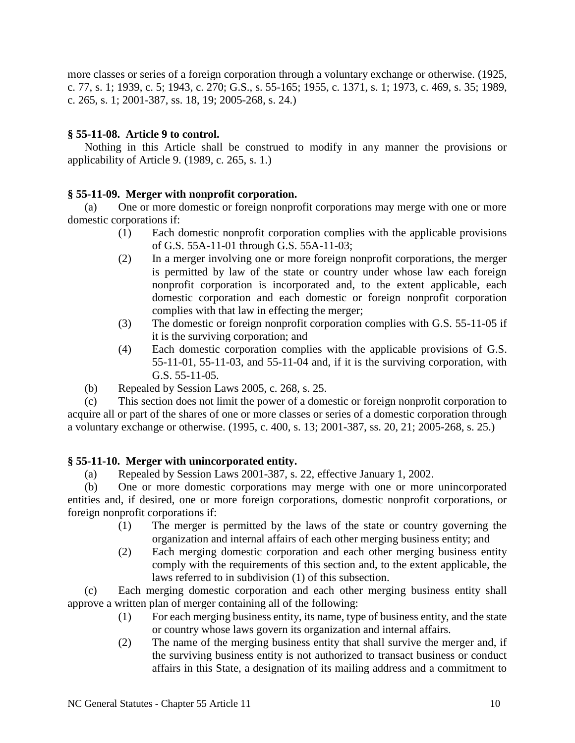more classes or series of a foreign corporation through a voluntary exchange or otherwise. (1925, c. 77, s. 1; 1939, c. 5; 1943, c. 270; G.S., s. 55-165; 1955, c. 1371, s. 1; 1973, c. 469, s. 35; 1989, c. 265, s. 1; 2001-387, ss. 18, 19; 2005-268, s. 24.)

## **§ 55-11-08. Article 9 to control.**

Nothing in this Article shall be construed to modify in any manner the provisions or applicability of Article 9. (1989, c. 265, s. 1.)

# **§ 55-11-09. Merger with nonprofit corporation.**

(a) One or more domestic or foreign nonprofit corporations may merge with one or more domestic corporations if:

- (1) Each domestic nonprofit corporation complies with the applicable provisions of G.S. 55A-11-01 through G.S. 55A-11-03;
- (2) In a merger involving one or more foreign nonprofit corporations, the merger is permitted by law of the state or country under whose law each foreign nonprofit corporation is incorporated and, to the extent applicable, each domestic corporation and each domestic or foreign nonprofit corporation complies with that law in effecting the merger;
- (3) The domestic or foreign nonprofit corporation complies with G.S. 55-11-05 if it is the surviving corporation; and
- (4) Each domestic corporation complies with the applicable provisions of G.S. 55-11-01, 55-11-03, and 55-11-04 and, if it is the surviving corporation, with G.S. 55-11-05.
- (b) Repealed by Session Laws 2005, c. 268, s. 25.

(c) This section does not limit the power of a domestic or foreign nonprofit corporation to acquire all or part of the shares of one or more classes or series of a domestic corporation through a voluntary exchange or otherwise. (1995, c. 400, s. 13; 2001-387, ss. 20, 21; 2005-268, s. 25.)

## **§ 55-11-10. Merger with unincorporated entity.**

(a) Repealed by Session Laws 2001-387, s. 22, effective January 1, 2002.

(b) One or more domestic corporations may merge with one or more unincorporated entities and, if desired, one or more foreign corporations, domestic nonprofit corporations, or foreign nonprofit corporations if:

- (1) The merger is permitted by the laws of the state or country governing the organization and internal affairs of each other merging business entity; and
- (2) Each merging domestic corporation and each other merging business entity comply with the requirements of this section and, to the extent applicable, the laws referred to in subdivision (1) of this subsection.

(c) Each merging domestic corporation and each other merging business entity shall approve a written plan of merger containing all of the following:

- (1) For each merging business entity, its name, type of business entity, and the state or country whose laws govern its organization and internal affairs.
- (2) The name of the merging business entity that shall survive the merger and, if the surviving business entity is not authorized to transact business or conduct affairs in this State, a designation of its mailing address and a commitment to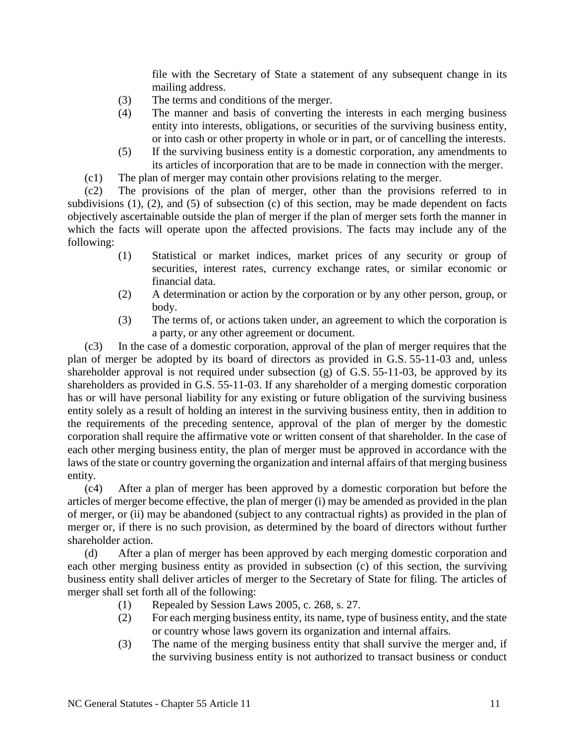file with the Secretary of State a statement of any subsequent change in its mailing address.

- (3) The terms and conditions of the merger.
- (4) The manner and basis of converting the interests in each merging business entity into interests, obligations, or securities of the surviving business entity, or into cash or other property in whole or in part, or of cancelling the interests.
- (5) If the surviving business entity is a domestic corporation, any amendments to its articles of incorporation that are to be made in connection with the merger.
- (c1) The plan of merger may contain other provisions relating to the merger.

(c2) The provisions of the plan of merger, other than the provisions referred to in subdivisions (1), (2), and (5) of subsection (c) of this section, may be made dependent on facts objectively ascertainable outside the plan of merger if the plan of merger sets forth the manner in which the facts will operate upon the affected provisions. The facts may include any of the following:

- (1) Statistical or market indices, market prices of any security or group of securities, interest rates, currency exchange rates, or similar economic or financial data.
- (2) A determination or action by the corporation or by any other person, group, or body.
- (3) The terms of, or actions taken under, an agreement to which the corporation is a party, or any other agreement or document.

(c3) In the case of a domestic corporation, approval of the plan of merger requires that the plan of merger be adopted by its board of directors as provided in G.S. 55-11-03 and, unless shareholder approval is not required under subsection (g) of G.S. 55-11-03, be approved by its shareholders as provided in G.S. 55-11-03. If any shareholder of a merging domestic corporation has or will have personal liability for any existing or future obligation of the surviving business entity solely as a result of holding an interest in the surviving business entity, then in addition to the requirements of the preceding sentence, approval of the plan of merger by the domestic corporation shall require the affirmative vote or written consent of that shareholder. In the case of each other merging business entity, the plan of merger must be approved in accordance with the laws of the state or country governing the organization and internal affairs of that merging business entity.

(c4) After a plan of merger has been approved by a domestic corporation but before the articles of merger become effective, the plan of merger (i) may be amended as provided in the plan of merger, or (ii) may be abandoned (subject to any contractual rights) as provided in the plan of merger or, if there is no such provision, as determined by the board of directors without further shareholder action.

(d) After a plan of merger has been approved by each merging domestic corporation and each other merging business entity as provided in subsection (c) of this section, the surviving business entity shall deliver articles of merger to the Secretary of State for filing. The articles of merger shall set forth all of the following:

- (1) Repealed by Session Laws 2005, c. 268, s. 27.
- (2) For each merging business entity, its name, type of business entity, and the state or country whose laws govern its organization and internal affairs.
- (3) The name of the merging business entity that shall survive the merger and, if the surviving business entity is not authorized to transact business or conduct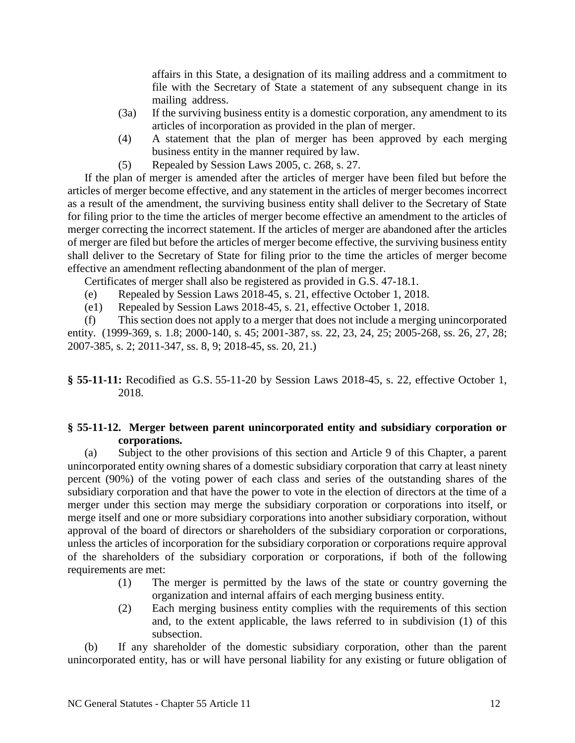affairs in this State, a designation of its mailing address and a commitment to file with the Secretary of State a statement of any subsequent change in its mailing address.

- (3a) If the surviving business entity is a domestic corporation, any amendment to its articles of incorporation as provided in the plan of merger.
- (4) A statement that the plan of merger has been approved by each merging business entity in the manner required by law.
- (5) Repealed by Session Laws 2005, c. 268, s. 27.

If the plan of merger is amended after the articles of merger have been filed but before the articles of merger become effective, and any statement in the articles of merger becomes incorrect as a result of the amendment, the surviving business entity shall deliver to the Secretary of State for filing prior to the time the articles of merger become effective an amendment to the articles of merger correcting the incorrect statement. If the articles of merger are abandoned after the articles of merger are filed but before the articles of merger become effective, the surviving business entity shall deliver to the Secretary of State for filing prior to the time the articles of merger become effective an amendment reflecting abandonment of the plan of merger.

Certificates of merger shall also be registered as provided in G.S. 47-18.1.

- (e) Repealed by Session Laws 2018-45, s. 21, effective October 1, 2018.
- (e1) Repealed by Session Laws 2018-45, s. 21, effective October 1, 2018.

(f) This section does not apply to a merger that does not include a merging unincorporated entity. (1999-369, s. 1.8; 2000-140, s. 45; 2001-387, ss. 22, 23, 24, 25; 2005-268, ss. 26, 27, 28; 2007-385, s. 2; 2011-347, ss. 8, 9; 2018-45, ss. 20, 21.)

**§ 55-11-11:** Recodified as G.S. 55-11-20 by Session Laws 2018-45, s. 22, effective October 1, 2018.

#### **§ 55-11-12. Merger between parent unincorporated entity and subsidiary corporation or corporations.**

(a) Subject to the other provisions of this section and Article 9 of this Chapter, a parent unincorporated entity owning shares of a domestic subsidiary corporation that carry at least ninety percent (90%) of the voting power of each class and series of the outstanding shares of the subsidiary corporation and that have the power to vote in the election of directors at the time of a merger under this section may merge the subsidiary corporation or corporations into itself, or merge itself and one or more subsidiary corporations into another subsidiary corporation, without approval of the board of directors or shareholders of the subsidiary corporation or corporations, unless the articles of incorporation for the subsidiary corporation or corporations require approval of the shareholders of the subsidiary corporation or corporations, if both of the following requirements are met:

- (1) The merger is permitted by the laws of the state or country governing the organization and internal affairs of each merging business entity.
- (2) Each merging business entity complies with the requirements of this section and, to the extent applicable, the laws referred to in subdivision (1) of this subsection.

(b) If any shareholder of the domestic subsidiary corporation, other than the parent unincorporated entity, has or will have personal liability for any existing or future obligation of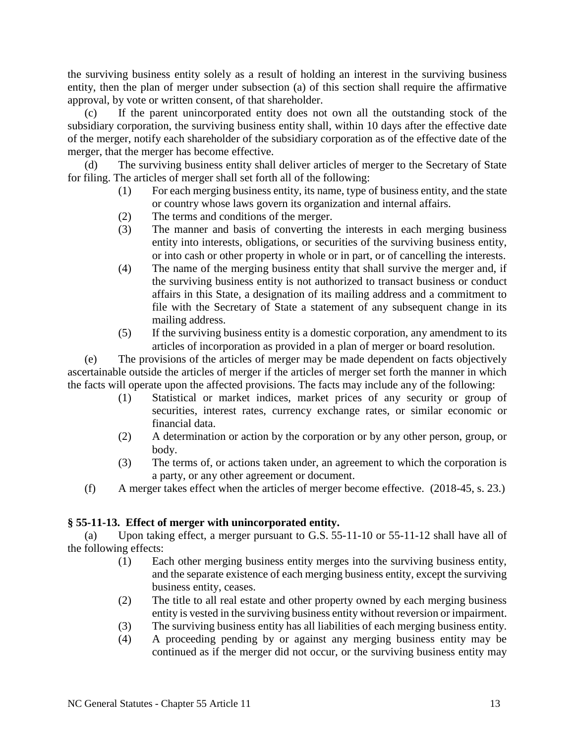the surviving business entity solely as a result of holding an interest in the surviving business entity, then the plan of merger under subsection (a) of this section shall require the affirmative approval, by vote or written consent, of that shareholder.

(c) If the parent unincorporated entity does not own all the outstanding stock of the subsidiary corporation, the surviving business entity shall, within 10 days after the effective date of the merger, notify each shareholder of the subsidiary corporation as of the effective date of the merger, that the merger has become effective.

(d) The surviving business entity shall deliver articles of merger to the Secretary of State for filing. The articles of merger shall set forth all of the following:

- (1) For each merging business entity, its name, type of business entity, and the state or country whose laws govern its organization and internal affairs.
- (2) The terms and conditions of the merger.
- (3) The manner and basis of converting the interests in each merging business entity into interests, obligations, or securities of the surviving business entity, or into cash or other property in whole or in part, or of cancelling the interests.
- (4) The name of the merging business entity that shall survive the merger and, if the surviving business entity is not authorized to transact business or conduct affairs in this State, a designation of its mailing address and a commitment to file with the Secretary of State a statement of any subsequent change in its mailing address.
- (5) If the surviving business entity is a domestic corporation, any amendment to its articles of incorporation as provided in a plan of merger or board resolution.

(e) The provisions of the articles of merger may be made dependent on facts objectively ascertainable outside the articles of merger if the articles of merger set forth the manner in which the facts will operate upon the affected provisions. The facts may include any of the following:

- (1) Statistical or market indices, market prices of any security or group of securities, interest rates, currency exchange rates, or similar economic or financial data.
- (2) A determination or action by the corporation or by any other person, group, or body.
- (3) The terms of, or actions taken under, an agreement to which the corporation is a party, or any other agreement or document.
- (f) A merger takes effect when the articles of merger become effective. (2018-45, s. 23.)

#### **§ 55-11-13. Effect of merger with unincorporated entity.**

(a) Upon taking effect, a merger pursuant to G.S. 55-11-10 or 55-11-12 shall have all of the following effects:

- (1) Each other merging business entity merges into the surviving business entity, and the separate existence of each merging business entity, except the surviving business entity, ceases.
- (2) The title to all real estate and other property owned by each merging business entity is vested in the surviving business entity without reversion or impairment.
- (3) The surviving business entity has all liabilities of each merging business entity.
- (4) A proceeding pending by or against any merging business entity may be continued as if the merger did not occur, or the surviving business entity may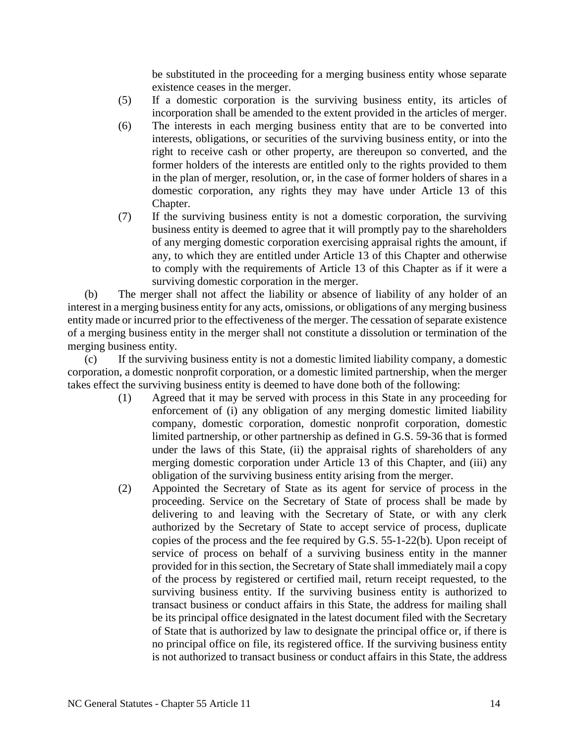be substituted in the proceeding for a merging business entity whose separate existence ceases in the merger.

- (5) If a domestic corporation is the surviving business entity, its articles of incorporation shall be amended to the extent provided in the articles of merger.
- (6) The interests in each merging business entity that are to be converted into interests, obligations, or securities of the surviving business entity, or into the right to receive cash or other property, are thereupon so converted, and the former holders of the interests are entitled only to the rights provided to them in the plan of merger, resolution, or, in the case of former holders of shares in a domestic corporation, any rights they may have under Article 13 of this Chapter.
- (7) If the surviving business entity is not a domestic corporation, the surviving business entity is deemed to agree that it will promptly pay to the shareholders of any merging domestic corporation exercising appraisal rights the amount, if any, to which they are entitled under Article 13 of this Chapter and otherwise to comply with the requirements of Article 13 of this Chapter as if it were a surviving domestic corporation in the merger.

(b) The merger shall not affect the liability or absence of liability of any holder of an interest in a merging business entity for any acts, omissions, or obligations of any merging business entity made or incurred prior to the effectiveness of the merger. The cessation of separate existence of a merging business entity in the merger shall not constitute a dissolution or termination of the merging business entity.

(c) If the surviving business entity is not a domestic limited liability company, a domestic corporation, a domestic nonprofit corporation, or a domestic limited partnership, when the merger takes effect the surviving business entity is deemed to have done both of the following:

- (1) Agreed that it may be served with process in this State in any proceeding for enforcement of (i) any obligation of any merging domestic limited liability company, domestic corporation, domestic nonprofit corporation, domestic limited partnership, or other partnership as defined in G.S. 59-36 that is formed under the laws of this State, (ii) the appraisal rights of shareholders of any merging domestic corporation under Article 13 of this Chapter, and (iii) any obligation of the surviving business entity arising from the merger.
- (2) Appointed the Secretary of State as its agent for service of process in the proceeding. Service on the Secretary of State of process shall be made by delivering to and leaving with the Secretary of State, or with any clerk authorized by the Secretary of State to accept service of process, duplicate copies of the process and the fee required by G.S. 55-1-22(b). Upon receipt of service of process on behalf of a surviving business entity in the manner provided for in this section, the Secretary of State shall immediately mail a copy of the process by registered or certified mail, return receipt requested, to the surviving business entity. If the surviving business entity is authorized to transact business or conduct affairs in this State, the address for mailing shall be its principal office designated in the latest document filed with the Secretary of State that is authorized by law to designate the principal office or, if there is no principal office on file, its registered office. If the surviving business entity is not authorized to transact business or conduct affairs in this State, the address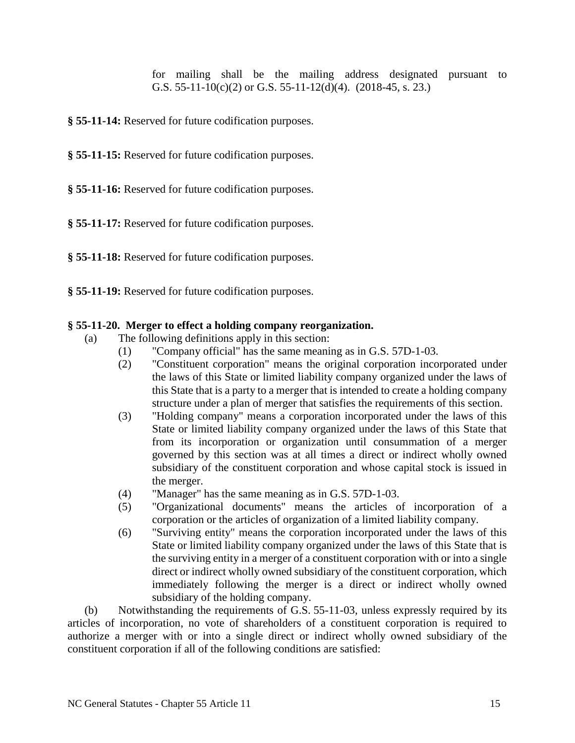for mailing shall be the mailing address designated pursuant to G.S. 55-11-10(c)(2) or G.S. 55-11-12(d)(4). (2018-45, s. 23.)

**§ 55-11-14:** Reserved for future codification purposes.

**§ 55-11-15:** Reserved for future codification purposes.

**§ 55-11-16:** Reserved for future codification purposes.

**§ 55-11-17:** Reserved for future codification purposes.

**§ 55-11-18:** Reserved for future codification purposes.

**§ 55-11-19:** Reserved for future codification purposes.

#### **§ 55-11-20. Merger to effect a holding company reorganization.**

- (a) The following definitions apply in this section:
	- (1) "Company official" has the same meaning as in G.S. 57D-1-03.
	- (2) "Constituent corporation" means the original corporation incorporated under the laws of this State or limited liability company organized under the laws of this State that is a party to a merger that is intended to create a holding company structure under a plan of merger that satisfies the requirements of this section.
	- (3) "Holding company" means a corporation incorporated under the laws of this State or limited liability company organized under the laws of this State that from its incorporation or organization until consummation of a merger governed by this section was at all times a direct or indirect wholly owned subsidiary of the constituent corporation and whose capital stock is issued in the merger.
	- (4) "Manager" has the same meaning as in G.S. 57D-1-03.
	- (5) "Organizational documents" means the articles of incorporation of a corporation or the articles of organization of a limited liability company.
	- (6) "Surviving entity" means the corporation incorporated under the laws of this State or limited liability company organized under the laws of this State that is the surviving entity in a merger of a constituent corporation with or into a single direct or indirect wholly owned subsidiary of the constituent corporation, which immediately following the merger is a direct or indirect wholly owned subsidiary of the holding company.

(b) Notwithstanding the requirements of G.S. 55-11-03, unless expressly required by its articles of incorporation, no vote of shareholders of a constituent corporation is required to authorize a merger with or into a single direct or indirect wholly owned subsidiary of the constituent corporation if all of the following conditions are satisfied: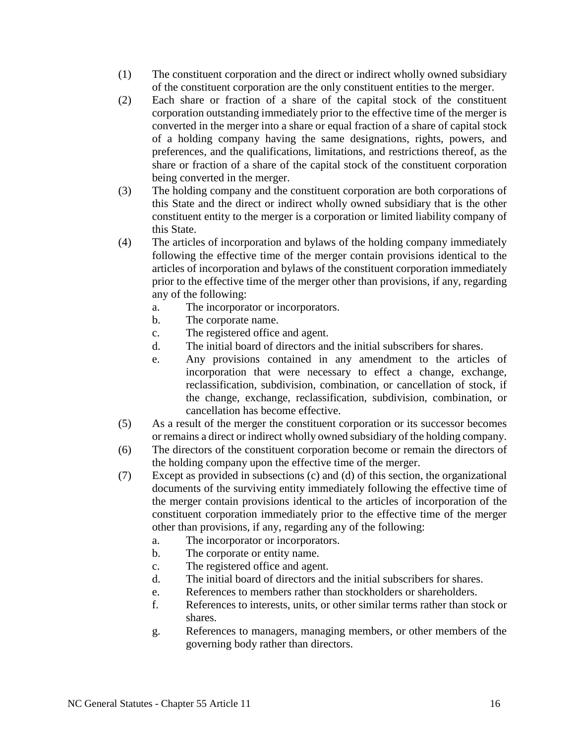- (1) The constituent corporation and the direct or indirect wholly owned subsidiary of the constituent corporation are the only constituent entities to the merger.
- (2) Each share or fraction of a share of the capital stock of the constituent corporation outstanding immediately prior to the effective time of the merger is converted in the merger into a share or equal fraction of a share of capital stock of a holding company having the same designations, rights, powers, and preferences, and the qualifications, limitations, and restrictions thereof, as the share or fraction of a share of the capital stock of the constituent corporation being converted in the merger.
- (3) The holding company and the constituent corporation are both corporations of this State and the direct or indirect wholly owned subsidiary that is the other constituent entity to the merger is a corporation or limited liability company of this State.
- (4) The articles of incorporation and bylaws of the holding company immediately following the effective time of the merger contain provisions identical to the articles of incorporation and bylaws of the constituent corporation immediately prior to the effective time of the merger other than provisions, if any, regarding any of the following:
	- a. The incorporator or incorporators.
	- b. The corporate name.
	- c. The registered office and agent.
	- d. The initial board of directors and the initial subscribers for shares.
	- e. Any provisions contained in any amendment to the articles of incorporation that were necessary to effect a change, exchange, reclassification, subdivision, combination, or cancellation of stock, if the change, exchange, reclassification, subdivision, combination, or cancellation has become effective.
- (5) As a result of the merger the constituent corporation or its successor becomes or remains a direct or indirect wholly owned subsidiary of the holding company.
- (6) The directors of the constituent corporation become or remain the directors of the holding company upon the effective time of the merger.
- (7) Except as provided in subsections (c) and (d) of this section, the organizational documents of the surviving entity immediately following the effective time of the merger contain provisions identical to the articles of incorporation of the constituent corporation immediately prior to the effective time of the merger other than provisions, if any, regarding any of the following:
	- a. The incorporator or incorporators.
	- b. The corporate or entity name.
	- c. The registered office and agent.
	- d. The initial board of directors and the initial subscribers for shares.
	- e. References to members rather than stockholders or shareholders.
	- f. References to interests, units, or other similar terms rather than stock or shares.
	- g. References to managers, managing members, or other members of the governing body rather than directors.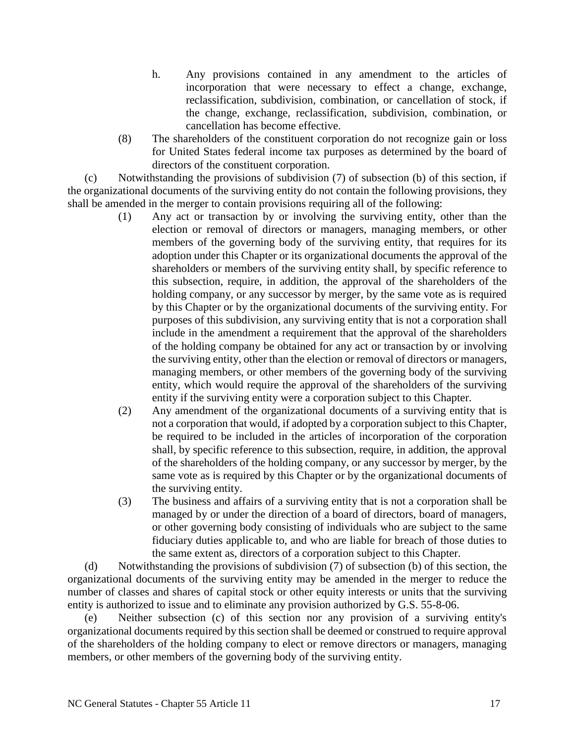- h. Any provisions contained in any amendment to the articles of incorporation that were necessary to effect a change, exchange, reclassification, subdivision, combination, or cancellation of stock, if the change, exchange, reclassification, subdivision, combination, or cancellation has become effective.
- (8) The shareholders of the constituent corporation do not recognize gain or loss for United States federal income tax purposes as determined by the board of directors of the constituent corporation.

(c) Notwithstanding the provisions of subdivision (7) of subsection (b) of this section, if the organizational documents of the surviving entity do not contain the following provisions, they shall be amended in the merger to contain provisions requiring all of the following:

- (1) Any act or transaction by or involving the surviving entity, other than the election or removal of directors or managers, managing members, or other members of the governing body of the surviving entity, that requires for its adoption under this Chapter or its organizational documents the approval of the shareholders or members of the surviving entity shall, by specific reference to this subsection, require, in addition, the approval of the shareholders of the holding company, or any successor by merger, by the same vote as is required by this Chapter or by the organizational documents of the surviving entity. For purposes of this subdivision, any surviving entity that is not a corporation shall include in the amendment a requirement that the approval of the shareholders of the holding company be obtained for any act or transaction by or involving the surviving entity, other than the election or removal of directors or managers, managing members, or other members of the governing body of the surviving entity, which would require the approval of the shareholders of the surviving entity if the surviving entity were a corporation subject to this Chapter.
- (2) Any amendment of the organizational documents of a surviving entity that is not a corporation that would, if adopted by a corporation subject to this Chapter, be required to be included in the articles of incorporation of the corporation shall, by specific reference to this subsection, require, in addition, the approval of the shareholders of the holding company, or any successor by merger, by the same vote as is required by this Chapter or by the organizational documents of the surviving entity.
- (3) The business and affairs of a surviving entity that is not a corporation shall be managed by or under the direction of a board of directors, board of managers, or other governing body consisting of individuals who are subject to the same fiduciary duties applicable to, and who are liable for breach of those duties to the same extent as, directors of a corporation subject to this Chapter.

(d) Notwithstanding the provisions of subdivision (7) of subsection (b) of this section, the organizational documents of the surviving entity may be amended in the merger to reduce the number of classes and shares of capital stock or other equity interests or units that the surviving entity is authorized to issue and to eliminate any provision authorized by G.S. 55-8-06.

(e) Neither subsection (c) of this section nor any provision of a surviving entity's organizational documents required by this section shall be deemed or construed to require approval of the shareholders of the holding company to elect or remove directors or managers, managing members, or other members of the governing body of the surviving entity.